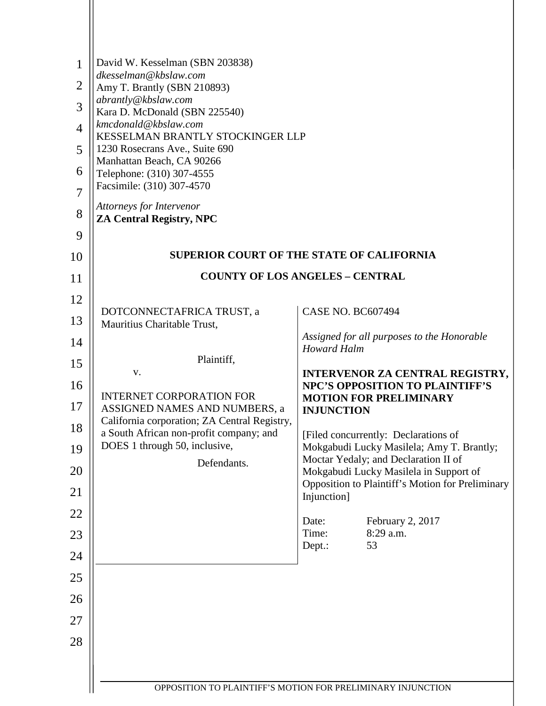| $\mathbf{1}$   | David W. Kesselman (SBN 203838)<br>dkesselman@kbslaw.com                                |                                                                                   |
|----------------|-----------------------------------------------------------------------------------------|-----------------------------------------------------------------------------------|
| $\overline{2}$ | Amy T. Brantly (SBN 210893)<br>abrantly@kbslaw.com                                      |                                                                                   |
| 3              | Kara D. McDonald (SBN 225540)                                                           |                                                                                   |
| $\overline{4}$ | kmcdonald@kbslaw.com<br>KESSELMAN BRANTLY STOCKINGER LLP                                |                                                                                   |
| 5              | 1230 Rosecrans Ave., Suite 690<br>Manhattan Beach, CA 90266                             |                                                                                   |
| 6              | Telephone: (310) 307-4555                                                               |                                                                                   |
| $\overline{7}$ | Facsimile: (310) 307-4570                                                               |                                                                                   |
| 8              | Attorneys for Intervenor<br><b>ZA Central Registry, NPC</b>                             |                                                                                   |
| 9              |                                                                                         |                                                                                   |
| 10             |                                                                                         | <b>SUPERIOR COURT OF THE STATE OF CALIFORNIA</b>                                  |
| 11             |                                                                                         | <b>COUNTY OF LOS ANGELES - CENTRAL</b>                                            |
| 12             | DOTCONNECTAFRICA TRUST, a                                                               | <b>CASE NO. BC607494</b>                                                          |
| 13             | Mauritius Charitable Trust,                                                             |                                                                                   |
| 14             |                                                                                         | Assigned for all purposes to the Honorable<br><b>Howard Halm</b>                  |
| 15             | Plaintiff,<br>V.                                                                        | <b>INTERVENOR ZA CENTRAL REGISTRY,</b>                                            |
| 16             | <b>INTERNET CORPORATION FOR</b>                                                         | <b>NPC'S OPPOSITION TO PLAINTIFF'S</b><br><b>MOTION FOR PRELIMINARY</b>           |
| 17             | ASSIGNED NAMES AND NUMBERS, a                                                           | <b>INJUNCTION</b>                                                                 |
| 18             | California corporation; ZA Central Registry,<br>a South African non-profit company; and | [Filed concurrently: Declarations of                                              |
| 19             | DOES 1 through 50, inclusive,                                                           | Mokgabudi Lucky Masilela; Amy T. Brantly;<br>Moctar Yedaly; and Declaration II of |
| 20             | Defendants.                                                                             | Mokgabudi Lucky Masilela in Support of                                            |
| 21             |                                                                                         | Opposition to Plaintiff's Motion for Preliminary<br>Injunction]                   |
| 22             |                                                                                         | Date:<br>February 2, 2017                                                         |
| 23             |                                                                                         | Time:<br>8:29 a.m.<br>53<br>Dept.:                                                |
| 24             |                                                                                         |                                                                                   |
| 25             |                                                                                         |                                                                                   |
| 26             |                                                                                         |                                                                                   |
| 27             |                                                                                         |                                                                                   |
| 28             |                                                                                         |                                                                                   |
|                |                                                                                         |                                                                                   |
|                |                                                                                         | OPPOSITION TO PLAINTIFF'S MOTION FOR PRELIMINARY INJUNCTION                       |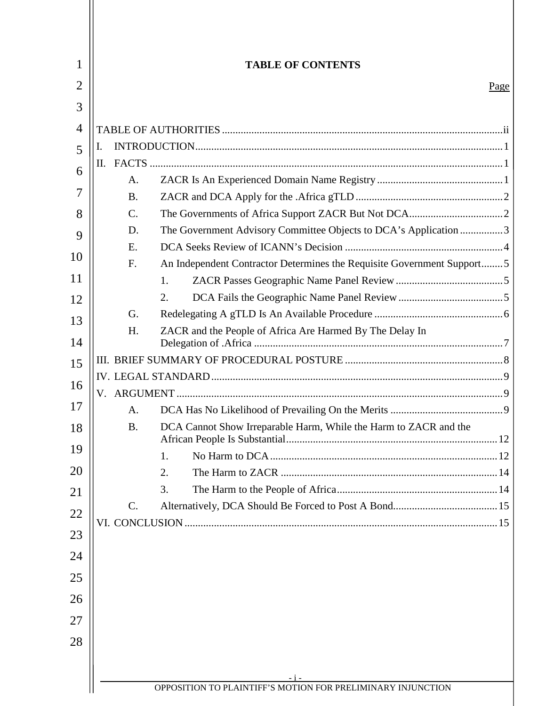|    |                 | <b>TABLE OF CONTENTS</b>                                               |
|----|-----------------|------------------------------------------------------------------------|
|    |                 | Page                                                                   |
|    |                 |                                                                        |
|    |                 |                                                                        |
| I. |                 |                                                                        |
|    |                 |                                                                        |
|    | A.              |                                                                        |
|    | <b>B.</b>       |                                                                        |
|    | $\mathcal{C}$ . |                                                                        |
|    | D.              | The Government Advisory Committee Objects to DCA's Application 3       |
|    | E.              |                                                                        |
|    | F.              | An Independent Contractor Determines the Requisite Government Support5 |
|    |                 | 1.                                                                     |
|    |                 | 2.                                                                     |
|    | G.              |                                                                        |
|    | H.              | ZACR and the People of Africa Are Harmed By The Delay In               |
|    |                 |                                                                        |
|    |                 |                                                                        |
|    |                 |                                                                        |
|    | A.              |                                                                        |
|    | <b>B.</b>       | DCA Cannot Show Irreparable Harm, While the Harm to ZACR and the       |
|    |                 | 1.                                                                     |
|    |                 | 2.                                                                     |
|    |                 | 3.                                                                     |
|    | C.              |                                                                        |
|    |                 |                                                                        |
|    |                 |                                                                        |
|    |                 |                                                                        |
|    |                 |                                                                        |
|    |                 |                                                                        |
|    |                 |                                                                        |
|    |                 |                                                                        |
|    |                 |                                                                        |
|    |                 |                                                                        |
|    |                 |                                                                        |
|    |                 | - i -<br>OPPOSITION TO PLAINTIFF'S MOTION FOR PRELIMINARY INJUNCTION   |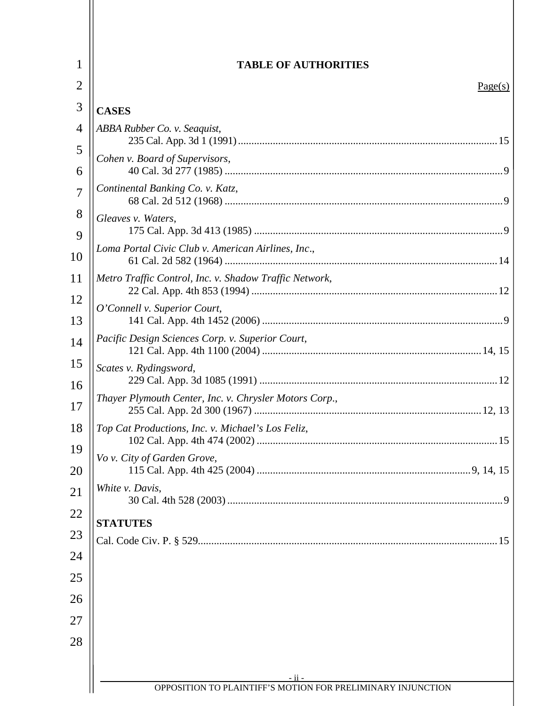<span id="page-2-0"></span>

|              | <b>TABLE OF AUTHORITIES</b>                            |
|--------------|--------------------------------------------------------|
|              | Page(s)                                                |
| <b>CASES</b> |                                                        |
|              | ABBA Rubber Co. v. Seaguist,                           |
|              | Cohen v. Board of Supervisors,                         |
|              |                                                        |
|              | Continental Banking Co. v. Katz,                       |
|              | Gleaves v. Waters,                                     |
|              | Loma Portal Civic Club v. American Airlines, Inc.,     |
|              |                                                        |
|              | Metro Traffic Control, Inc. v. Shadow Traffic Network, |
|              | O'Connell v. Superior Court,                           |
|              | Pacific Design Sciences Corp. v. Superior Court,       |
|              |                                                        |
|              | Scates v. Rydingsword,                                 |
|              | Thayer Plymouth Center, Inc. v. Chrysler Motors Corp., |
|              | Top Cat Productions, Inc. v. Michael's Los Feliz,      |
|              | Vo v. City of Garden Grove,                            |
|              | White v. Davis,                                        |
|              | <b>STATUTES</b>                                        |
|              |                                                        |
|              |                                                        |
|              |                                                        |
|              |                                                        |
|              |                                                        |
|              |                                                        |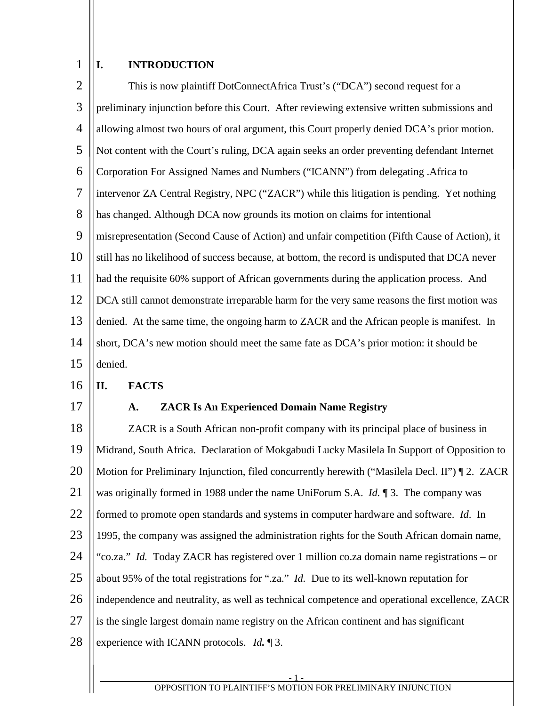#### <span id="page-3-0"></span>1 **I. INTRODUCTION**

| $\overline{2}$ | This is now plaintiff DotConnectAfrica Trust's ("DCA") second request for a                    |
|----------------|------------------------------------------------------------------------------------------------|
| 3              | preliminary injunction before this Court. After reviewing extensive written submissions and    |
| $\overline{4}$ | allowing almost two hours of oral argument, this Court properly denied DCA's prior motion.     |
| 5              | Not content with the Court's ruling, DCA again seeks an order preventing defendant Internet    |
| 6              | Corporation For Assigned Names and Numbers ("ICANN") from delegating .Africa to                |
| $\overline{7}$ | intervenor ZA Central Registry, NPC ("ZACR") while this litigation is pending. Yet nothing     |
| 8              | has changed. Although DCA now grounds its motion on claims for intentional                     |
| 9              | misrepresentation (Second Cause of Action) and unfair competition (Fifth Cause of Action), it  |
| 10             | still has no likelihood of success because, at bottom, the record is undisputed that DCA never |
| 11             | had the requisite 60% support of African governments during the application process. And       |
| 12             | DCA still cannot demonstrate irreparable harm for the very same reasons the first motion was   |
| 13             | denied. At the same time, the ongoing harm to ZACR and the African people is manifest. In      |
| 14             | short, DCA's new motion should meet the same fate as DCA's prior motion: it should be          |
| 15             | denied.                                                                                        |

#### <span id="page-3-1"></span>16 **II. FACTS**

<span id="page-3-2"></span>17

# **A. ZACR Is An Experienced Domain Name Registry**

18 19 20 21 22 23 24 25 26 27 28 ZACR is a South African non-profit company with its principal place of business in Midrand, South Africa. Declaration of Mokgabudi Lucky Masilela In Support of Opposition to Motion for Preliminary Injunction, filed concurrently herewith ("Masilela Decl. II") [2. ZACR was originally formed in 1988 under the name UniForum S.A. *Id.* ¶ 3. The company was formed to promote open standards and systems in computer hardware and software. *Id*. In 1995, the company was assigned the administration rights for the South African domain name, "co.za." *Id.* Today ZACR has registered over 1 million co.za domain name registrations – or about 95% of the total registrations for ".za." *Id.* Due to its well-known reputation for independence and neutrality, as well as technical competence and operational excellence, ZACR is the single largest domain name registry on the African continent and has significant experience with ICANN protocols. *Id.* ¶ 3.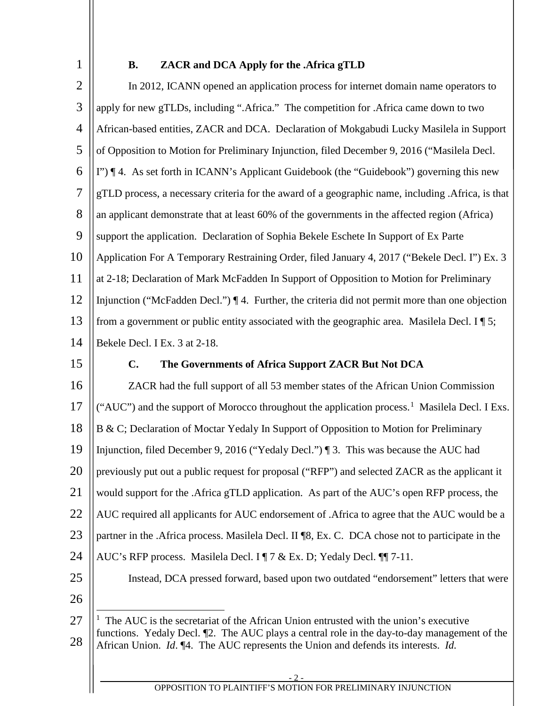<span id="page-4-0"></span>

| ۰, |  |
|----|--|
|    |  |
|    |  |

# **B. ZACR and DCA Apply for the .Africa gTLD**

2 3 4 5 6 7 8 9 10 11 12 13 14 15 In 2012, ICANN opened an application process for internet domain name operators to apply for new gTLDs, including ".Africa." The competition for .Africa came down to two African-based entities, ZACR and DCA. Declaration of Mokgabudi Lucky Masilela in Support of Opposition to Motion for Preliminary Injunction, filed December 9, 2016 ("Masilela Decl. I") ¶ 4. As set forth in ICANN's Applicant Guidebook (the "Guidebook") governing this new gTLD process, a necessary criteria for the award of a geographic name, including .Africa, is that an applicant demonstrate that at least 60% of the governments in the affected region (Africa) support the application. Declaration of Sophia Bekele Eschete In Support of Ex Parte Application For A Temporary Restraining Order, filed January 4, 2017 ("Bekele Decl. I") Ex. 3 at 2-18; Declaration of Mark McFadden In Support of Opposition to Motion for Preliminary Injunction ("McFadden Decl.") ¶ 4. Further, the criteria did not permit more than one objection from a government or public entity associated with the geographic area. Masilela Decl. I  $\P$  5; Bekele Decl. I Ex. 3 at 2-18. **C. The Governments of Africa Support ZACR But Not DCA**

<span id="page-4-2"></span><span id="page-4-1"></span>16 17 18 19 20 21 22 23 24 25 26 27 28 ZACR had the full support of all 53 member states of the African Union Commission ("AUC") and the support of Morocco throughout the application process.<sup>[1](#page-4-2)</sup> Masilela Decl. I Exs. B & C; Declaration of Moctar Yedaly In Support of Opposition to Motion for Preliminary Injunction, filed December 9, 2016 ("Yedaly Decl.") ¶ 3. This was because the AUC had previously put out a public request for proposal ("RFP") and selected ZACR as the applicant it would support for the .Africa gTLD application. As part of the AUC's open RFP process, the AUC required all applicants for AUC endorsement of .Africa to agree that the AUC would be a partner in the .Africa process. Masilela Decl. II ¶8, Ex. C. DCA chose not to participate in the AUC's RFP process. Masilela Decl. I ¶ 7 & Ex. D; Yedaly Decl. ¶¶ 7-11. Instead, DCA pressed forward, based upon two outdated "endorsement" letters that were <sup>1</sup> The AUC is the secretariat of the African Union entrusted with the union's executive functions. Yedaly Decl. ¶2. The AUC plays a central role in the day-to-day management of the African Union. *Id*. ¶4. The AUC represents the Union and defends its interests. *Id.*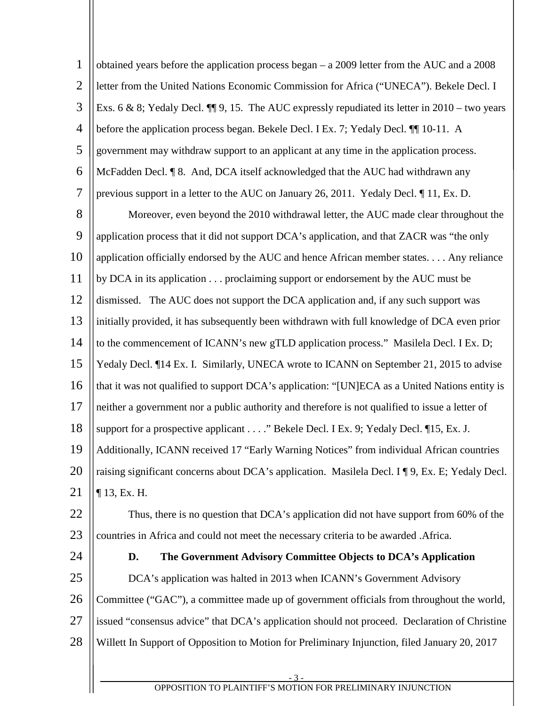<span id="page-5-0"></span>

| $\mathbf{1}$   | obtained years before the application process began $- a 2009$ letter from the AUC and a 2008      |
|----------------|----------------------------------------------------------------------------------------------------|
| $\mathfrak{2}$ | letter from the United Nations Economic Commission for Africa ("UNECA"). Bekele Decl. I            |
| 3              | Exs. 6 & 8; Yedaly Decl. $\P\P$ 9, 15. The AUC expressly repudiated its letter in 2010 – two years |
| $\overline{4}$ | before the application process began. Bekele Decl. I Ex. 7; Yedaly Decl. II 10-11. A               |
| 5              | government may withdraw support to an applicant at any time in the application process.            |
| 6              | McFadden Decl. ¶ 8. And, DCA itself acknowledged that the AUC had withdrawn any                    |
| $\overline{7}$ | previous support in a letter to the AUC on January 26, 2011. Yedaly Decl. 11, Ex. D.               |
| 8              | Moreover, even beyond the 2010 withdrawal letter, the AUC made clear throughout the                |
| 9              | application process that it did not support DCA's application, and that ZACR was "the only         |
| 10             | application officially endorsed by the AUC and hence African member states Any reliance            |
| 11             | by DCA in its application proclaiming support or endorsement by the AUC must be                    |
| 12             | dismissed. The AUC does not support the DCA application and, if any such support was               |
| 13             | initially provided, it has subsequently been withdrawn with full knowledge of DCA even prior       |
| 14             | to the commencement of ICANN's new gTLD application process." Masilela Decl. I Ex. D;              |
| 15             | Yedaly Decl. ¶14 Ex. I. Similarly, UNECA wrote to ICANN on September 21, 2015 to advise            |
| 16             | that it was not qualified to support DCA's application: "[UN]ECA as a United Nations entity is     |
| 17             | neither a government nor a public authority and therefore is not qualified to issue a letter of    |
| 18             | support for a prospective applicant " Bekele Decl. I Ex. 9; Yedaly Decl. 15, Ex. J.                |
| 19             | Additionally, ICANN received 17 "Early Warning Notices" from individual African countries          |
| 20             | raising significant concerns about DCA's application. Masilela Decl. I ¶ 9, Ex. E; Yedaly Decl.    |
| 21             | $\P$ 13, Ex. H.                                                                                    |
| 22             | Thus, there is no question that DCA's application did not have support from 60% of the             |
| 23             | countries in Africa and could not meet the necessary criteria to be awarded . Africa.              |
| 24             | D.<br>The Government Advisory Committee Objects to DCA's Application                               |
| 25             | DCA's application was halted in 2013 when ICANN's Government Advisory                              |
| 26             | Committee ("GAC"), a committee made up of government officials from throughout the world,          |
| 27             | issued "consensus advice" that DCA's application should not proceed. Declaration of Christine      |
| 28             | Willett In Support of Opposition to Motion for Preliminary Injunction, filed January 20, 2017      |
|                |                                                                                                    |
|                | OPPOSITION TO PLAINTIFF'S MOTION FOR PRELIMINARY INJUNCTION                                        |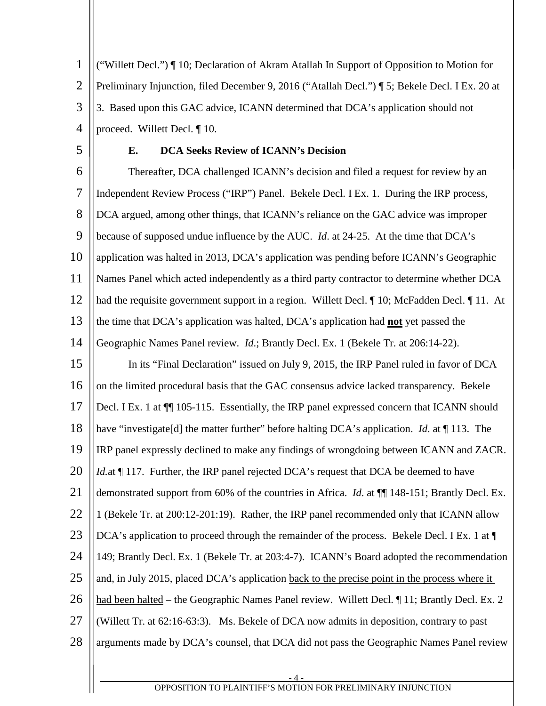1 2 3 4 ("Willett Decl.") ¶ 10; Declaration of Akram Atallah In Support of Opposition to Motion for Preliminary Injunction, filed December 9, 2016 ("Atallah Decl.") ¶ 5; Bekele Decl. I Ex. 20 at 3. Based upon this GAC advice, ICANN determined that DCA's application should not proceed. Willett Decl. ¶ 10.

<span id="page-6-0"></span>5

## **E. DCA Seeks Review of ICANN's Decision**

6 7 8 9 10 11 12 13 14 15 16 17 18 19 20 21 22 23  $24$ 25 26 27 28 Thereafter, DCA challenged ICANN's decision and filed a request for review by an Independent Review Process ("IRP") Panel. Bekele Decl. I Ex. 1. During the IRP process, DCA argued, among other things, that ICANN's reliance on the GAC advice was improper because of supposed undue influence by the AUC. *Id*. at 24-25. At the time that DCA's application was halted in 2013, DCA's application was pending before ICANN's Geographic Names Panel which acted independently as a third party contractor to determine whether DCA had the requisite government support in a region. Willett Decl.  $\P$  10; McFadden Decl.  $\P$  11. At the time that DCA's application was halted, DCA's application had **not** yet passed the Geographic Names Panel review. *Id*.; Brantly Decl. Ex. 1 (Bekele Tr. at 206:14-22). In its "Final Declaration" issued on July 9, 2015, the IRP Panel ruled in favor of DCA on the limited procedural basis that the GAC consensus advice lacked transparency. Bekele Decl. I Ex. 1 at  $\P$  105-115. Essentially, the IRP panel expressed concern that ICANN should have "investigate[d] the matter further" before halting DCA's application. *Id*. at ¶ 113. The IRP panel expressly declined to make any findings of wrongdoing between ICANN and ZACR. *Id.*at ¶ 117. Further, the IRP panel rejected DCA's request that DCA be deemed to have demonstrated support from 60% of the countries in Africa. *Id*. at ¶¶ 148-151; Brantly Decl. Ex. 1 (Bekele Tr. at 200:12-201:19). Rather, the IRP panel recommended only that ICANN allow DCA's application to proceed through the remainder of the process. Bekele Decl. I Ex. 1 at  $\P$ 149; Brantly Decl. Ex. 1 (Bekele Tr. at 203:4-7). ICANN's Board adopted the recommendation and, in July 2015, placed DCA's application back to the precise point in the process where it had been halted – the Geographic Names Panel review. Willett Decl.  $\P$  11; Brantly Decl. Ex. 2 (Willett Tr. at 62:16-63:3). Ms. Bekele of DCA now admits in deposition, contrary to past arguments made by DCA's counsel, that DCA did not pass the Geographic Names Panel review

- 4 -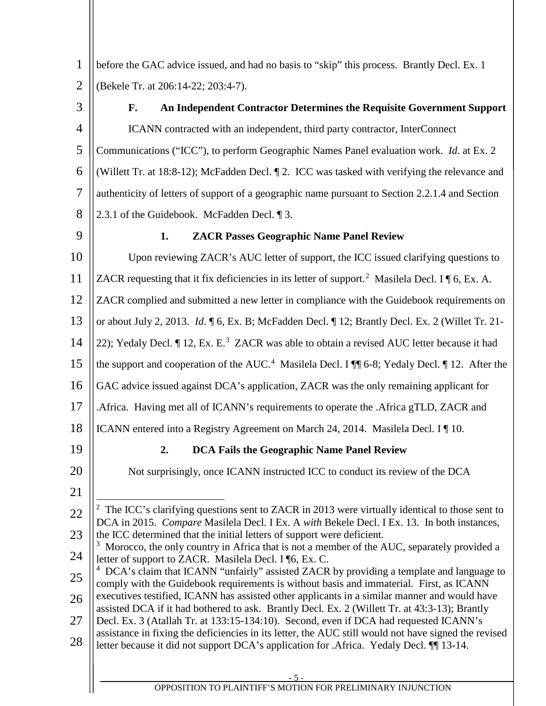1 2 before the GAC advice issued, and had no basis to "skip" this process. Brantly Decl. Ex. 1 (Bekele Tr. at 206:14-22; 203:4-7).

<span id="page-7-0"></span>3

# **F. An Independent Contractor Determines the Requisite Government Support** ICANN contracted with an independent, third party contractor, InterConnect

4 5 6 7 8 Communications ("ICC"), to perform Geographic Names Panel evaluation work. *Id.* at Ex. 2 (Willett Tr. at 18:8-12); McFadden Decl. ¶ 2. ICC was tasked with verifying the relevance and authenticity of letters of support of a geographic name pursuant to Section 2.2.1.4 and Section 2.3.1 of the Guidebook. McFadden Decl. ¶ 3.

<span id="page-7-1"></span>9

# **1. ZACR Passes Geographic Name Panel Review**

10 11 12 13 14 15 16 Upon reviewing ZACR's AUC letter of support, the ICC issued clarifying questions to ZACR requesting that it fix deficiencies in its letter of support.<sup>[2](#page-7-3)</sup> Masilela Decl. I  $\P$  6, Ex. A. ZACR complied and submitted a new letter in compliance with the Guidebook requirements on or about July 2, 2013. *Id*. ¶ 6, Ex. B; McFadden Decl. ¶ 12; Brantly Decl. Ex. 2 (Willet Tr. 21- 22); Yedaly Decl.  $\P$  12, Ex. E.<sup>[3](#page-7-4)</sup> ZACR was able to obtain a revised AUC letter because it had the support and cooperation of the AUC.<sup>[4](#page-7-5)</sup> Masilela Decl. I  $\P$  6-8; Yedaly Decl.  $\P$  12. After the GAC advice issued against DCA's application, ZACR was the only remaining applicant for

17 .Africa. Having met all of ICANN's requirements to operate the .Africa gTLD, ZACR and

18 ICANN entered into a Registry Agreement on March 24, 2014. Masilela Decl. I ¶ 10.

<span id="page-7-2"></span>19

# **2. DCA Fails the Geographic Name Panel Review**

20

Not surprisingly, once ICANN instructed ICC to conduct its review of the DCA

21

<span id="page-7-3"></span>22 23 <sup>2</sup> The ICC's clarifying questions sent to ZACR in 2013 were virtually identical to those sent to DCA in 2015. *Compare* Masilela Decl. I Ex. A *with* Bekele Decl. I Ex. 13. In both instances, the ICC determined that the initial letters of support were deficient.

### <span id="page-7-4"></span>24  $3$  Morocco, the only country in Africa that is not a member of the AUC, separately provided a letter of support to ZACR. Masilela Decl. I ¶6, Ex. C.

- <span id="page-7-5"></span>25 <sup>4</sup> DCA's claim that ICANN "unfairly" assisted ZACR by providing a template and language to comply with the Guidebook requirements is without basis and immaterial. First, as ICANN executives testified, ICANN has assisted other applicants in a similar manner and would have
- 26 assisted DCA if it had bothered to ask. Brantly Decl. Ex. 2 (Willett Tr. at 43:3-13); Brantly
- 27 28 Decl. Ex. 3 (Atallah Tr. at 133:15-134:10). Second, even if DCA had requested ICANN's assistance in fixing the deficiencies in its letter, the AUC still would not have signed the revised letter because it did not support DCA's application for .Africa. Yedaly Decl. ¶¶ 13-14.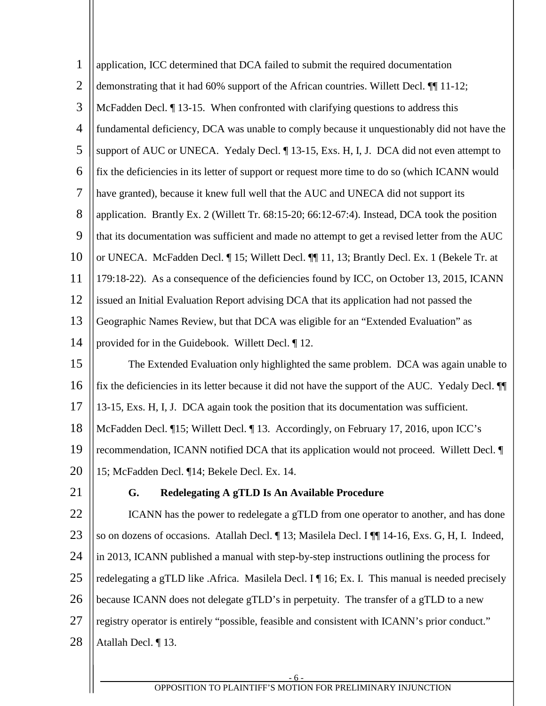<span id="page-8-0"></span>

| $\mathbf{1}$   | application, ICC determined that DCA failed to submit the required documentation                   |
|----------------|----------------------------------------------------------------------------------------------------|
| $\overline{2}$ | demonstrating that it had 60% support of the African countries. Willett Decl. ¶ 11-12;             |
| 3              | McFadden Decl. ¶13-15. When confronted with clarifying questions to address this                   |
| $\overline{4}$ | fundamental deficiency, DCA was unable to comply because it unquestionably did not have the        |
| 5              | support of AUC or UNECA. Yedaly Decl. [13-15, Exs. H, I, J. DCA did not even attempt to            |
| 6              | fix the deficiencies in its letter of support or request more time to do so (which ICANN would     |
| $\tau$         | have granted), because it knew full well that the AUC and UNECA did not support its                |
| 8              | application. Brantly Ex. 2 (Willett Tr. 68:15-20; 66:12-67:4). Instead, DCA took the position      |
| 9              | that its documentation was sufficient and made no attempt to get a revised letter from the AUC     |
| 10             | or UNECA. McFadden Decl. [15; Willett Decl. [1] 11, 13; Brantly Decl. Ex. 1 (Bekele Tr. at         |
| 11             | 179:18-22). As a consequence of the deficiencies found by ICC, on October 13, 2015, ICANN          |
| 12             | issued an Initial Evaluation Report advising DCA that its application had not passed the           |
| 13             | Geographic Names Review, but that DCA was eligible for an "Extended Evaluation" as                 |
| 14             | provided for in the Guidebook. Willett Decl. ¶ 12.                                                 |
| 15             | The Extended Evaluation only highlighted the same problem. DCA was again unable to                 |
| 16             | fix the deficiencies in its letter because it did not have the support of the AUC. Yedaly Decl. II |
| 17             | 13-15, Exs. H, I, J. DCA again took the position that its documentation was sufficient.            |
| 18             | McFadden Decl. ¶15; Willett Decl. ¶13. Accordingly, on February 17, 2016, upon ICC's               |
| 19             | recommendation, ICANN notified DCA that its application would not proceed. Willett Decl. ¶         |
| 20             | 15; McFadden Decl. ¶14; Bekele Decl. Ex. 14.                                                       |
| 21             | G.<br>Redelegating A gTLD Is An Available Procedure                                                |
| 22             | ICANN has the power to redelegate a gTLD from one operator to another, and has done                |
| 23             | so on dozens of occasions. Atallah Decl. [13; Masilela Decl. I [[14-16, Exs. G, H, I. Indeed,      |
| 24             | in 2013, ICANN published a manual with step-by-step instructions outlining the process for         |
| 25             | redelegating a gTLD like .Africa. Masilela Decl. I   16; Ex. I. This manual is needed precisely    |
| 26             | because ICANN does not delegate gTLD's in perpetuity. The transfer of a gTLD to a new              |
| 27             | registry operator is entirely "possible, feasible and consistent with ICANN's prior conduct."      |
| 28             | Atallah Decl. ¶13.                                                                                 |
|                |                                                                                                    |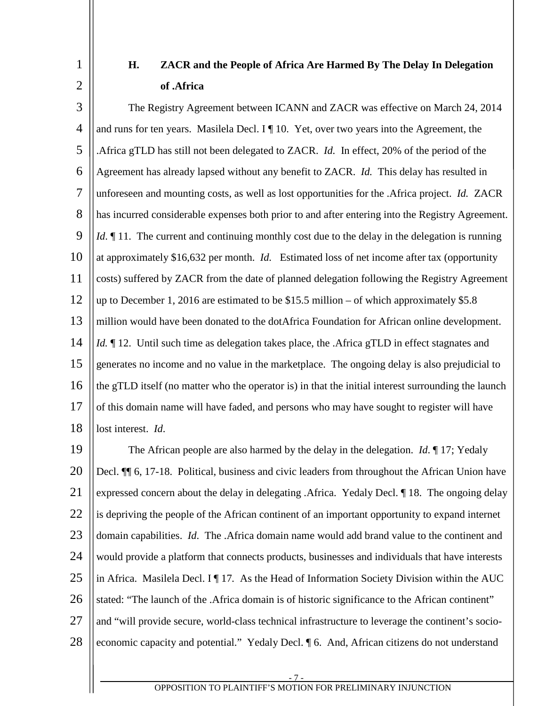# **H. ZACR and the People of Africa Are Harmed By The Delay In Delegation of .Africa**

<span id="page-9-0"></span>1

2

3 4 5 6 7 8 9 10 11 12 13 14 15 16 17 18 The Registry Agreement between ICANN and ZACR was effective on March 24, 2014 and runs for ten years. Masilela Decl. I  $\P$  10. Yet, over two years into the Agreement, the .Africa gTLD has still not been delegated to ZACR. *Id.* In effect, 20% of the period of the Agreement has already lapsed without any benefit to ZACR. *Id.* This delay has resulted in unforeseen and mounting costs, as well as lost opportunities for the .Africa project. *Id.* ZACR has incurred considerable expenses both prior to and after entering into the Registry Agreement. *Id*. 11. The current and continuing monthly cost due to the delay in the delegation is running at approximately \$16,632 per month. *Id.* Estimated loss of net income after tax (opportunity costs) suffered by ZACR from the date of planned delegation following the Registry Agreement up to December 1, 2016 are estimated to be \$15.5 million – of which approximately \$5.8 million would have been donated to the dotAfrica Foundation for African online development. *Id.* 12. Until such time as delegation takes place, the .Africa gTLD in effect stagnates and generates no income and no value in the marketplace. The ongoing delay is also prejudicial to the gTLD itself (no matter who the operator is) in that the initial interest surrounding the launch of this domain name will have faded, and persons who may have sought to register will have lost interest. *Id*.

19 20 21 22 23 24 25 26 27 28 The African people are also harmed by the delay in the delegation. *Id*. ¶ 17; Yedaly Decl. ¶¶ 6, 17-18. Political, business and civic leaders from throughout the African Union have expressed concern about the delay in delegating .Africa. Yedaly Decl. ¶ 18. The ongoing delay is depriving the people of the African continent of an important opportunity to expand internet domain capabilities. *Id*. The .Africa domain name would add brand value to the continent and would provide a platform that connects products, businesses and individuals that have interests in Africa. Masilela Decl. I ¶ 17*.* As the Head of Information Society Division within the AUC stated: "The launch of the .Africa domain is of historic significance to the African continent" and "will provide secure, world-class technical infrastructure to leverage the continent's socioeconomic capacity and potential." Yedaly Decl. ¶ 6. And, African citizens do not understand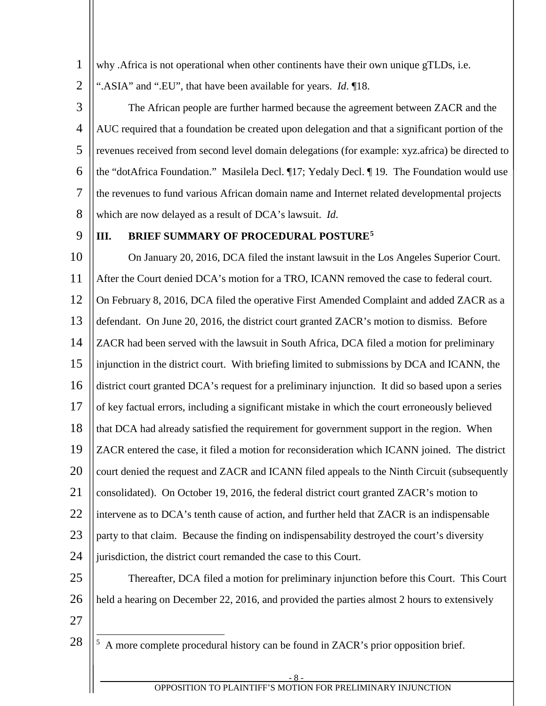1 why .Africa is not operational when other continents have their own unique gTLDs, i.e.

2 ".ASIA" and ".EU", that have been available for years. *Id*. ¶18.

3 4 5 6 7 8 The African people are further harmed because the agreement between ZACR and the AUC required that a foundation be created upon delegation and that a significant portion of the revenues received from second level domain delegations (for example: xyz.africa) be directed to the "dotAfrica Foundation." Masilela Decl. ¶17; Yedaly Decl. ¶ 19*.* The Foundation would use the revenues to fund various African domain name and Internet related developmental projects which are now delayed as a result of DCA's lawsuit. *Id*.

9

### <span id="page-10-0"></span>**III. BRIEF SUMMARY OF PROCEDURAL POSTURE[5](#page-10-1)**

10 11 12 13 14 15 16 17 18 19 20 21 22 23 24 25 26 27 On January 20, 2016, DCA filed the instant lawsuit in the Los Angeles Superior Court. After the Court denied DCA's motion for a TRO, ICANN removed the case to federal court. On February 8, 2016, DCA filed the operative First Amended Complaint and added ZACR as a defendant. On June 20, 2016, the district court granted ZACR's motion to dismiss. Before ZACR had been served with the lawsuit in South Africa, DCA filed a motion for preliminary injunction in the district court. With briefing limited to submissions by DCA and ICANN, the district court granted DCA's request for a preliminary injunction. It did so based upon a series of key factual errors, including a significant mistake in which the court erroneously believed that DCA had already satisfied the requirement for government support in the region. When ZACR entered the case, it filed a motion for reconsideration which ICANN joined. The district court denied the request and ZACR and ICANN filed appeals to the Ninth Circuit (subsequently consolidated). On October 19, 2016, the federal district court granted ZACR's motion to intervene as to DCA's tenth cause of action, and further held that ZACR is an indispensable party to that claim. Because the finding on indispensability destroyed the court's diversity jurisdiction, the district court remanded the case to this Court. Thereafter, DCA filed a motion for preliminary injunction before this Court. This Court held a hearing on December 22, 2016, and provided the parties almost 2 hours to extensively

<span id="page-10-1"></span>28

<sup>5</sup> A more complete procedural history can be found in ZACR's prior opposition brief.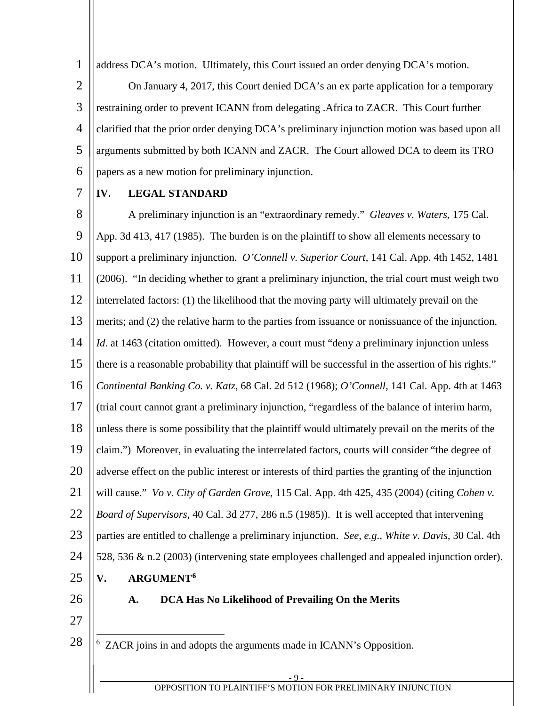address DCA's motion. Ultimately, this Court issued an order denying DCA's motion.

2 3 4 5 6 On January 4, 2017, this Court denied DCA's an ex parte application for a temporary restraining order to prevent ICANN from delegating .Africa to ZACR. This Court further clarified that the prior order denying DCA's preliminary injunction motion was based upon all arguments submitted by both ICANN and ZACR. The Court allowed DCA to deem its TRO papers as a new motion for preliminary injunction.

7

1

# <span id="page-11-0"></span>**IV. LEGAL STANDARD**

8 9 10 11 12 13 14 15 16 17 18 19 20 21 22 23  $24$ 25 26 A preliminary injunction is an "extraordinary remedy." *Gleaves v. Waters*, 175 Cal. App. 3d 413, 417 (1985). The burden is on the plaintiff to show all elements necessary to support a preliminary injunction. *O'Connell v. Superior Court*, 141 Cal. App. 4th 1452, 1481 (2006). "In deciding whether to grant a preliminary injunction, the trial court must weigh two interrelated factors: (1) the likelihood that the moving party will ultimately prevail on the merits; and (2) the relative harm to the parties from issuance or nonissuance of the injunction. *Id.* at 1463 (citation omitted). However, a court must "deny a preliminary injunction unless there is a reasonable probability that plaintiff will be successful in the assertion of his rights." *Continental Banking Co. v. Katz*, 68 Cal. 2d 512 (1968); *O'Connell*, 141 Cal. App. 4th at 1463 (trial court cannot grant a preliminary injunction, "regardless of the balance of interim harm, unless there is some possibility that the plaintiff would ultimately prevail on the merits of the claim.") Moreover, in evaluating the interrelated factors, courts will consider "the degree of adverse effect on the public interest or interests of third parties the granting of the injunction will cause." *Vo v. City of Garden Grove*, 115 Cal. App. 4th 425, 435 (2004) (citing *Cohen v. Board of Supervisors*, 40 Cal. 3d 277, 286 n.5 (1985)). It is well accepted that intervening parties are entitled to challenge a preliminary injunction. *See*, *e.g*., *White v. Davis*, 30 Cal. 4th 528, 536 & n.2 (2003) (intervening state employees challenged and appealed injunction order). **V. ARGUMENT[6](#page-12-0) A. DCA Has No Likelihood of Prevailing On the Merits**

- <span id="page-11-2"></span><span id="page-11-1"></span>
- 27 28

6 ZACR joins in and adopts the arguments made in ICANN's Opposition.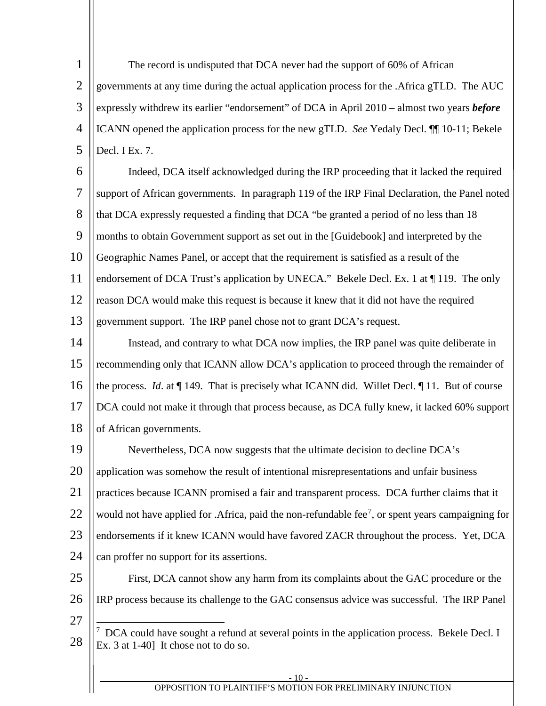1 2 3 4 5 The record is undisputed that DCA never had the support of 60% of African governments at any time during the actual application process for the .Africa gTLD. The AUC expressly withdrew its earlier "endorsement" of DCA in April 2010 – almost two years *before* ICANN opened the application process for the new gTLD. *See* Yedaly Decl. ¶¶ 10-11; Bekele Decl. I Ex. 7.

6 7 8 9 10 11 12 13 Indeed, DCA itself acknowledged during the IRP proceeding that it lacked the required support of African governments. In paragraph 119 of the IRP Final Declaration, the Panel noted that DCA expressly requested a finding that DCA "be granted a period of no less than 18 months to obtain Government support as set out in the [Guidebook] and interpreted by the Geographic Names Panel, or accept that the requirement is satisfied as a result of the endorsement of DCA Trust's application by UNECA." Bekele Decl. Ex. 1 at ¶ 119. The only reason DCA would make this request is because it knew that it did not have the required government support. The IRP panel chose not to grant DCA's request.

14 15 16 17 18 Instead, and contrary to what DCA now implies, the IRP panel was quite deliberate in recommending only that ICANN allow DCA's application to proceed through the remainder of the process. *Id*. at ¶ 149. That is precisely what ICANN did. Willet Decl. ¶ 11. But of course DCA could not make it through that process because, as DCA fully knew, it lacked 60% support of African governments.

19 20 21 22 23 24 Nevertheless, DCA now suggests that the ultimate decision to decline DCA's application was somehow the result of intentional misrepresentations and unfair business practices because ICANN promised a fair and transparent process. DCA further claims that it would not have applied for . Africa, paid the non-refundable fee<sup>[7](#page-13-0)</sup>, or spent years campaigning for endorsements if it knew ICANN would have favored ZACR throughout the process. Yet, DCA can proffer no support for its assertions.

- 25 26 27 First, DCA cannot show any harm from its complaints about the GAC procedure or the IRP process because its challenge to the GAC consensus advice was successful. The IRP Panel
- <span id="page-12-0"></span>28 <sup>7</sup> DCA could have sought a refund at several points in the application process. Bekele Decl. I Ex. 3 at 1-40] It chose not to do so.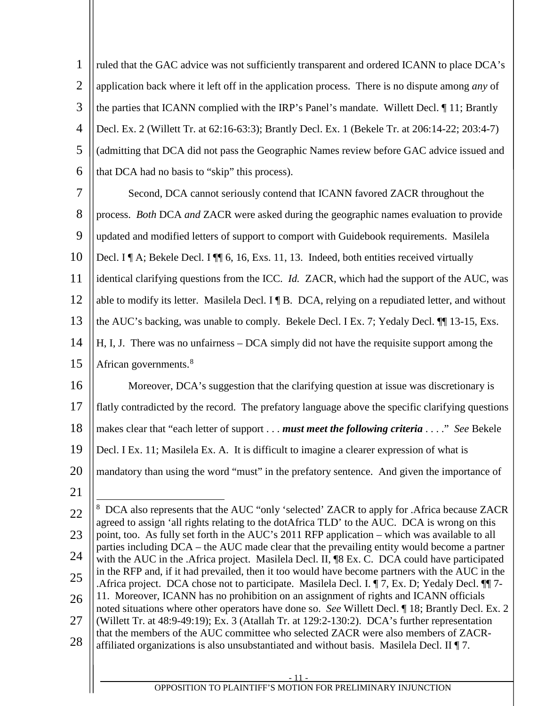| 1    ruled that the GAC advice was not sufficiently transparent and ordered ICANN to place $DCA$ 's          |
|--------------------------------------------------------------------------------------------------------------|
| 2   application back where it left off in the application process. There is no dispute among <i>any</i> of   |
| 3 $\parallel$ the parties that ICANN complied with the IRP's Panel's mandate. Willett Decl. $\P$ 11; Brantly |
| 4  Decl. Ex. 2 (Willett Tr. at 62:16-63:3); Brantly Decl. Ex. 1 (Bekele Tr. at 206:14-22; 203:4-7)           |
| 5    (admitting that DCA did not pass the Geographic Names review before GAC advice issued and               |
| 6   that DCA had no basis to "skip" this process).                                                           |
|                                                                                                              |

| $7 \parallel$ | Second, DCA cannot seriously contend that ICANN favored ZACR throughout the                                |
|---------------|------------------------------------------------------------------------------------------------------------|
|               | 8    process. <i>Both</i> DCA <i>and</i> ZACR were asked during the geographic names evaluation to provide |

9 updated and modified letters of support to comport with Guidebook requirements. Masilela

10 Decl. I ¶ A; Bekele Decl. I ¶ [ 6, 16, Exs. 11, 13. Indeed, both entities received virtually

11 identical clarifying questions from the ICC. *Id.* ZACR, which had the support of the AUC, was

12 able to modify its letter. Masilela Decl. I | B. DCA, relying on a repudiated letter, and without

13 the AUC's backing, was unable to comply. Bekele Decl. I Ex. 7; Yedaly Decl. ¶¶ 13-15, Exs.

- 14 H, I, J. There was no unfairness – DCA simply did not have the requisite support among the
- 15 African governments.<sup>[8](#page-13-1)</sup>
- 16 17 Moreover, DCA's suggestion that the clarifying question at issue was discretionary is flatly contradicted by the record. The prefatory language above the specific clarifying questions
- 18 makes clear that "each letter of support . . . *must meet the following criteria* . . . ." *See* Bekele
- 19 Decl. I Ex. 11; Masilela Ex. A. It is difficult to imagine a clearer expression of what is
- 20 mandatory than using the word "must" in the prefatory sentence. And given the importance of
- 21

<span id="page-13-1"></span><span id="page-13-0"></span><sup>22</sup> 23 24 25 26 27 28 <sup>8</sup> DCA also represents that the AUC "only 'selected' ZACR to apply for .Africa because ZACR agreed to assign 'all rights relating to the dotAfrica TLD' to the AUC. DCA is wrong on this point, too. As fully set forth in the AUC's 2011 RFP application – which was available to all parties including DCA – the AUC made clear that the prevailing entity would become a partner with the AUC in the .Africa project. Masilela Decl. II, <sup>[8]</sup> Ex. C. DCA could have participated in the RFP and, if it had prevailed, then it too would have become partners with the AUC in the .Africa project. DCA chose not to participate. Masilela Decl. I. ¶ 7, Ex. D; Yedaly Decl. ¶¶ 7- 11. Moreover, ICANN has no prohibition on an assignment of rights and ICANN officials noted situations where other operators have done so. *See* Willett Decl. ¶ 18; Brantly Decl. Ex. 2 (Willett Tr. at 48:9-49:19); Ex. 3 (Atallah Tr. at 129:2-130:2). DCA's further representation that the members of the AUC committee who selected ZACR were also members of ZACRaffiliated organizations is also unsubstantiated and without basis. Masilela Decl. II ¶ 7.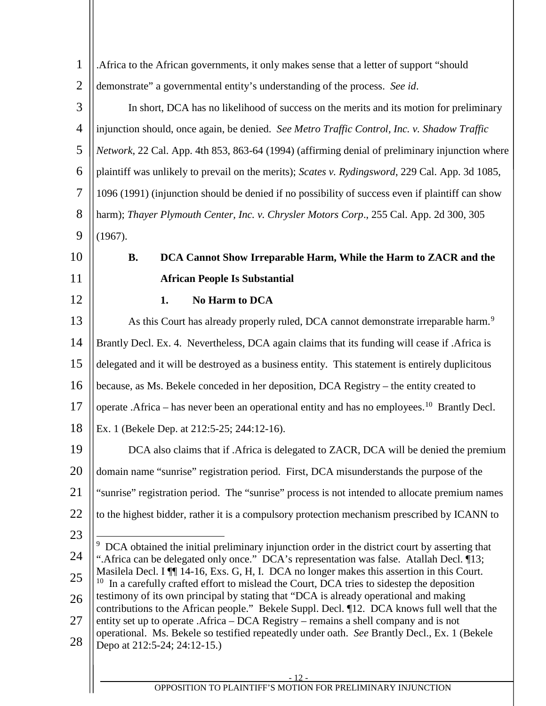<span id="page-14-2"></span><span id="page-14-1"></span><span id="page-14-0"></span>

| $\mathbf{1}$   | Africa to the African governments, it only makes sense that a letter of support "should".                                                                                                   |
|----------------|---------------------------------------------------------------------------------------------------------------------------------------------------------------------------------------------|
| $\overline{2}$ | demonstrate" a governmental entity's understanding of the process. See id.                                                                                                                  |
| 3              | In short, DCA has no likelihood of success on the merits and its motion for preliminary                                                                                                     |
| $\overline{4}$ | injunction should, once again, be denied. See Metro Traffic Control, Inc. v. Shadow Traffic                                                                                                 |
| 5              | Network, 22 Cal. App. 4th 853, 863-64 (1994) (affirming denial of preliminary injunction where                                                                                              |
| 6              | plaintiff was unlikely to prevail on the merits); Scates v. Rydingsword, 229 Cal. App. 3d 1085,                                                                                             |
| $\overline{7}$ | 1096 (1991) (injunction should be denied if no possibility of success even if plaintiff can show                                                                                            |
| 8              | harm); Thayer Plymouth Center, Inc. v. Chrysler Motors Corp., 255 Cal. App. 2d 300, 305                                                                                                     |
| 9              | (1967).                                                                                                                                                                                     |
| 10             | DCA Cannot Show Irreparable Harm, While the Harm to ZACR and the<br><b>B.</b>                                                                                                               |
| 11             | <b>African People Is Substantial</b>                                                                                                                                                        |
| 12             | No Harm to DCA<br>1.                                                                                                                                                                        |
| 13             | As this Court has already properly ruled, DCA cannot demonstrate irreparable harm. <sup>9</sup>                                                                                             |
| 14             | Brantly Decl. Ex. 4. Nevertheless, DCA again claims that its funding will cease if .Africa is                                                                                               |
| 15             | delegated and it will be destroyed as a business entity. This statement is entirely duplicitous                                                                                             |
| 16             | because, as Ms. Bekele conceded in her deposition, DCA Registry – the entity created to                                                                                                     |
| 17             | operate .Africa – has never been an operational entity and has no employees. <sup>10</sup> Brantly Decl.                                                                                    |
| 18             | Ex. 1 (Bekele Dep. at 212:5-25; 244:12-16).                                                                                                                                                 |
| 19             | DCA also claims that if . Africa is delegated to ZACR, DCA will be denied the premium                                                                                                       |
| 20             | domain name "sunrise" registration period. First, DCA misunderstands the purpose of the                                                                                                     |
| 21             | "sunrise" registration period. The "sunrise" process is not intended to allocate premium names                                                                                              |
| 22             | to the highest bidder, rather it is a compulsory protection mechanism prescribed by ICANN to                                                                                                |
| 23             | DCA obtained the initial preliminary injunction order in the district court by asserting that                                                                                               |
| 24             | ".Africa can be delegated only once." DCA's representation was false. Atallah Decl. [13;                                                                                                    |
| 25             | Masilela Decl. I ¶ 14-16, Exs. G, H, I. DCA no longer makes this assertion in this Court.<br>10<br>In a carefully crafted effort to mislead the Court, DCA tries to sidestep the deposition |
| 26             | testimony of its own principal by stating that "DCA is already operational and making<br>contributions to the African people." Bekele Suppl. Decl. [12. DCA knows full well that the        |
| 27             | entity set up to operate .Africa – DCA Registry – remains a shell company and is not                                                                                                        |
| 28             | operational. Ms. Bekele so testified repeatedly under oath. See Brantly Decl., Ex. 1 (Bekele<br>Depo at 212:5-24; 24:12-15.)                                                                |
|                |                                                                                                                                                                                             |
|                | $-12-$<br>OPPOSITION TO PLAINTIFF'S MOTION FOR PRELIMINARY INJUNCTION                                                                                                                       |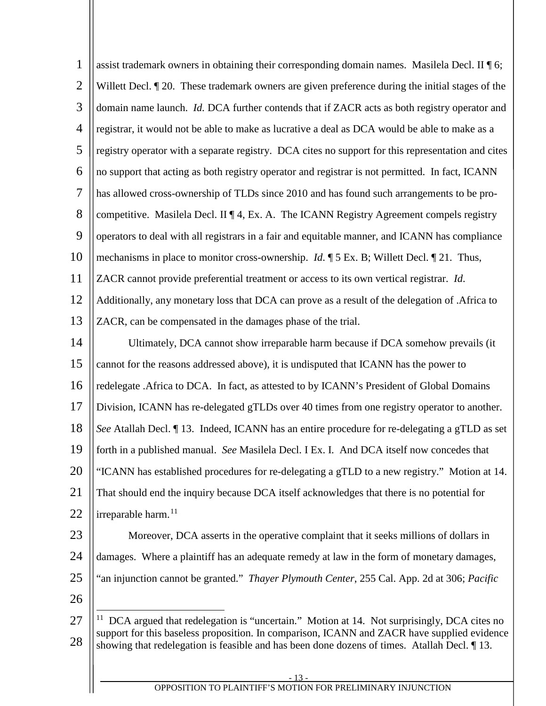<span id="page-15-0"></span>

| $\mathbf{1}$   | assist trademark owners in obtaining their corresponding domain names. Masilela Decl. II $\P$ 6;                                                                                          |
|----------------|-------------------------------------------------------------------------------------------------------------------------------------------------------------------------------------------|
| $\overline{2}$ | Willett Decl. 1 20. These trademark owners are given preference during the initial stages of the                                                                                          |
| 3              | domain name launch. <i>Id.</i> DCA further contends that if ZACR acts as both registry operator and                                                                                       |
| $\overline{4}$ | registrar, it would not be able to make as lucrative a deal as DCA would be able to make as a                                                                                             |
| 5              | registry operator with a separate registry. DCA cites no support for this representation and cites                                                                                        |
| 6              | no support that acting as both registry operator and registrar is not permitted. In fact, ICANN                                                                                           |
| $\tau$         | has allowed cross-ownership of TLDs since 2010 and has found such arrangements to be pro-                                                                                                 |
| 8              | competitive. Masilela Decl. II $\P$ 4, Ex. A. The ICANN Registry Agreement compels registry                                                                                               |
| 9              | operators to deal with all registrars in a fair and equitable manner, and ICANN has compliance                                                                                            |
| 10             | mechanisms in place to monitor cross-ownership. $Id. \P 5 Ex. B$ ; Willett Decl. $\P 21$ . Thus,                                                                                          |
| 11             | ZACR cannot provide preferential treatment or access to its own vertical registrar. Id.                                                                                                   |
| 12             | Additionally, any monetary loss that DCA can prove as a result of the delegation of .Africa to                                                                                            |
| 13             | ZACR, can be compensated in the damages phase of the trial.                                                                                                                               |
| 14             | Ultimately, DCA cannot show irreparable harm because if DCA somehow prevails (it                                                                                                          |
| 15             | cannot for the reasons addressed above), it is undisputed that ICANN has the power to                                                                                                     |
| 16             | redelegate .Africa to DCA. In fact, as attested to by ICANN's President of Global Domains                                                                                                 |
| 17             | Division, ICANN has re-delegated gTLDs over 40 times from one registry operator to another.                                                                                               |
| 18             | See Atallah Decl. ¶13. Indeed, ICANN has an entire procedure for re-delegating a gTLD as set                                                                                              |
| 19             | forth in a published manual. See Masilela Decl. I Ex. I. And DCA itself now concedes that                                                                                                 |
| 20             | "ICANN has established procedures for re-delegating a gTLD to a new registry." Motion at 14.                                                                                              |
| 21             | That should end the inquiry because DCA itself acknowledges that there is no potential for                                                                                                |
| 22             | irreparable harm. <sup>11</sup>                                                                                                                                                           |
| 23             | Moreover, DCA asserts in the operative complaint that it seeks millions of dollars in                                                                                                     |
| 24             | damages. Where a plaintiff has an adequate remedy at law in the form of monetary damages,                                                                                                 |
| 25             | "an injunction cannot be granted." Thayer Plymouth Center, 255 Cal. App. 2d at 306; Pacific                                                                                               |
| 26             |                                                                                                                                                                                           |
| 27             | <sup>11</sup> DCA argued that redelegation is "uncertain." Motion at 14. Not surprisingly, DCA cites no                                                                                   |
| 28             | support for this baseless proposition. In comparison, ICANN and ZACR have supplied evidence<br>showing that redelegation is feasible and has been done dozens of times. Atallah Decl. 13. |
|                |                                                                                                                                                                                           |
|                | $-13-$<br>OPPOSITION TO PLAINTIFF'S MOTION FOR PRELIMINARY INJUNCTION                                                                                                                     |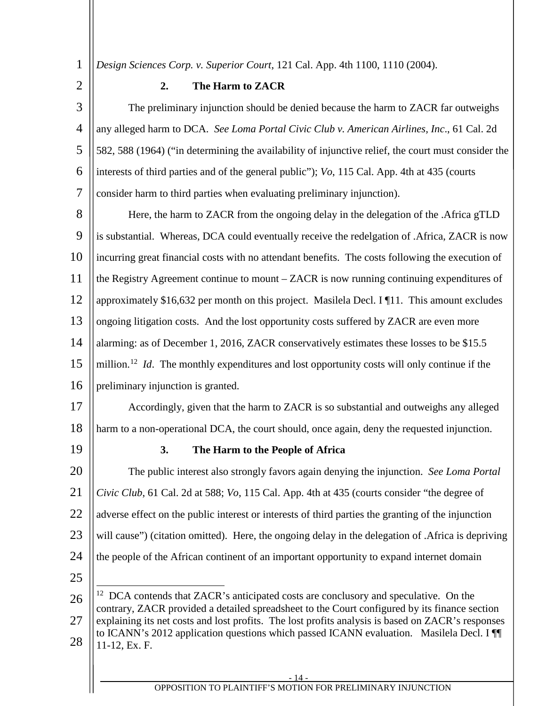<span id="page-16-0"></span>*Design Sciences Corp. v. Superior Court*, 121 Cal. App. 4th 1100, 1110 (2004).

2

1

# **2. The Harm to ZACR**

3 4 5 6 7 The preliminary injunction should be denied because the harm to ZACR far outweighs any alleged harm to DCA. *See Loma Portal Civic Club v. American Airlines, Inc*., 61 Cal. 2d 582, 588 (1964) ("in determining the availability of injunctive relief, the court must consider the interests of third parties and of the general public"); *Vo*, 115 Cal. App. 4th at 435 (courts consider harm to third parties when evaluating preliminary injunction).

8 9 10 11 12 13 14 15 16 Here, the harm to ZACR from the ongoing delay in the delegation of the .Africa gTLD is substantial. Whereas, DCA could eventually receive the redelgation of .Africa, ZACR is now incurring great financial costs with no attendant benefits. The costs following the execution of the Registry Agreement continue to mount – ZACR is now running continuing expenditures of approximately \$16,632 per month on this project. Masilela Decl. I ¶11. This amount excludes ongoing litigation costs. And the lost opportunity costs suffered by ZACR are even more alarming: as of December 1, 2016, ZACR conservatively estimates these losses to be \$15.5 million.<sup>[12](#page-17-2)</sup> *Id.* The monthly expenditures and lost opportunity costs will only continue if the preliminary injunction is granted.

17 18 Accordingly, given that the harm to ZACR is so substantial and outweighs any alleged harm to a non-operational DCA, the court should, once again, deny the requested injunction.

<span id="page-16-1"></span>19

# **3. The Harm to the People of Africa**

20 21 22 23 24 25 The public interest also strongly favors again denying the injunction. *See Loma Portal Civic Club*, 61 Cal. 2d at 588; *Vo*, 115 Cal. App. 4th at 435 (courts consider "the degree of adverse effect on the public interest or interests of third parties the granting of the injunction will cause") (citation omitted). Here, the ongoing delay in the delegation of .Africa is depriving the people of the African continent of an important opportunity to expand internet domain

<span id="page-16-2"></span>26 27 28 <sup>12</sup> DCA contends that ZACR's anticipated costs are conclusory and speculative. On the contrary, ZACR provided a detailed spreadsheet to the Court configured by its finance section explaining its net costs and lost profits. The lost profits analysis is based on ZACR's responses to ICANN's 2012 application questions which passed ICANN evaluation. Masilela Decl. I ¶¶ 11-12, Ex. F.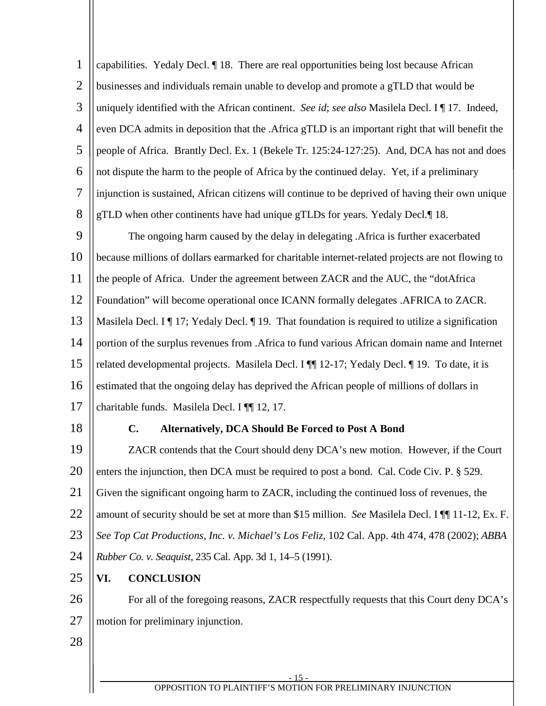<span id="page-17-2"></span><span id="page-17-1"></span><span id="page-17-0"></span>

| $\mathbf{1}$   | capabilities. Yedaly Decl.   18. There are real opportunities being lost because African               |
|----------------|--------------------------------------------------------------------------------------------------------|
| $\overline{2}$ | businesses and individuals remain unable to develop and promote a gTLD that would be                   |
| 3              | uniquely identified with the African continent. See id; see also Masilela Decl. I¶17. Indeed,          |
| $\overline{4}$ | even DCA admits in deposition that the .Africa gTLD is an important right that will benefit the        |
| 5              | people of Africa. Brantly Decl. Ex. 1 (Bekele Tr. 125:24-127:25). And, DCA has not and does            |
| 6              | not dispute the harm to the people of Africa by the continued delay. Yet, if a preliminary             |
| 7              | injunction is sustained, African citizens will continue to be deprived of having their own unique      |
| 8              | gTLD when other continents have had unique gTLDs for years. Yedaly Decl.¶18.                           |
| 9              | The ongoing harm caused by the delay in delegating . Africa is further exacerbated                     |
| 10             | because millions of dollars earmarked for charitable internet-related projects are not flowing to      |
| 11             | the people of Africa. Under the agreement between ZACR and the AUC, the "dotAfrica                     |
| 12             | Foundation" will become operational once ICANN formally delegates .AFRICA to ZACR.                     |
| 13             | Masilela Decl. I $\P$ 17; Yedaly Decl. $\P$ 19. That foundation is required to utilize a signification |
| 14             | portion of the surplus revenues from . Africa to fund various African domain name and Internet         |
| 15             | related developmental projects. Masilela Decl. I ¶ 12-17; Yedaly Decl. ¶ 19. To date, it is            |
| 16             | estimated that the ongoing delay has deprived the African people of millions of dollars in             |
| 17             | charitable funds. Masilela Decl. I ¶ 12, 17.                                                           |
| 18             | C.<br><b>Alternatively, DCA Should Be Forced to Post A Bond</b>                                        |
| 19             | ZACR contends that the Court should deny DCA's new motion. However, if the Court                       |
| 20             | enters the injunction, then DCA must be required to post a bond. Cal. Code Civ. P. § 529.              |
| 21             | Given the significant ongoing harm to ZACR, including the continued loss of revenues, the              |
| 22             | amount of security should be set at more than \$15 million. See Masilela Decl. I $\P$ 11-12, Ex. F.    |
| 23             | See Top Cat Productions, Inc. v. Michael's Los Feliz, 102 Cal. App. 4th 474, 478 (2002); ABBA          |
| 24             | Rubber Co. v. Seaquist, 235 Cal. App. 3d 1, 14–5 (1991).                                               |
| 25             | <b>CONCLUSION</b><br>VI.                                                                               |
| 26             | For all of the foregoing reasons, ZACR respectfully requests that this Court deny DCA's                |
| 27             | motion for preliminary injunction.                                                                     |
| 28             |                                                                                                        |
|                |                                                                                                        |
|                | - 15 -<br>OPPOSITION TO PLAINTIFF'S MOTION FOR PRELIMINARY INJUNCTION                                  |